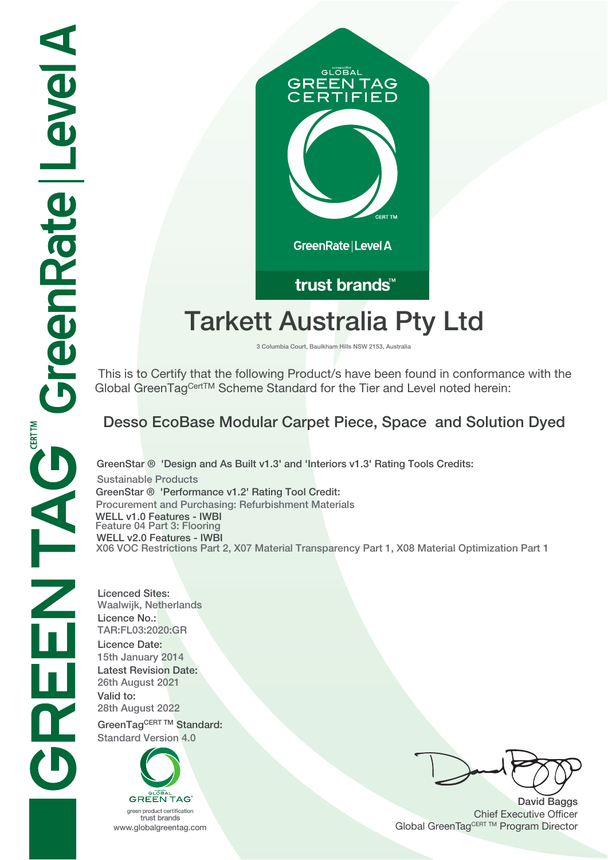

# **Tarkett Australia Pty Ltd**

**3 Columbia Court, Baulkham Hills NSW 2153, Australia**

 This is to Certify that the following Product/s have been found in conformance with the Global GreenTagCertTM Scheme Standard for the Tier and Level noted herein:

# **Desso EcoBase Modular Carpet Piece, Space and Solution Dyed**

**GreenStar ® 'Design and As Built v1.3' and 'Interiors v1.3' Rating Tools Credits: Sustainable Products GreenStar ® 'Performance v1.2' Rating Tool Credit: Procurement and Purchasing: Refurbishment Materials WELL v1.0 Features - IWBI Feature 04 Part 3: Flooring WELL v2.0 Features - IWBI X06 VOC Restrictions Part 2, X07 Material Transparency Part 1, X08 Material Optimization Part 1**

**Licenced Sites: Waalwijk, Netherlands Licence No.: TAR:FL03:2020:GR Licence Date: 15th January 2014 Latest Revision Date: 26th August 2021 Valid to: 28th August 2022** GreenTagCERT TM Standard:

**Standard Version 4.0**



trust brands

**David Baggs** Chief Executive Officer WWW.globalgreentag.com **Program Director** Clobal GreenTagCERT TM Program Director